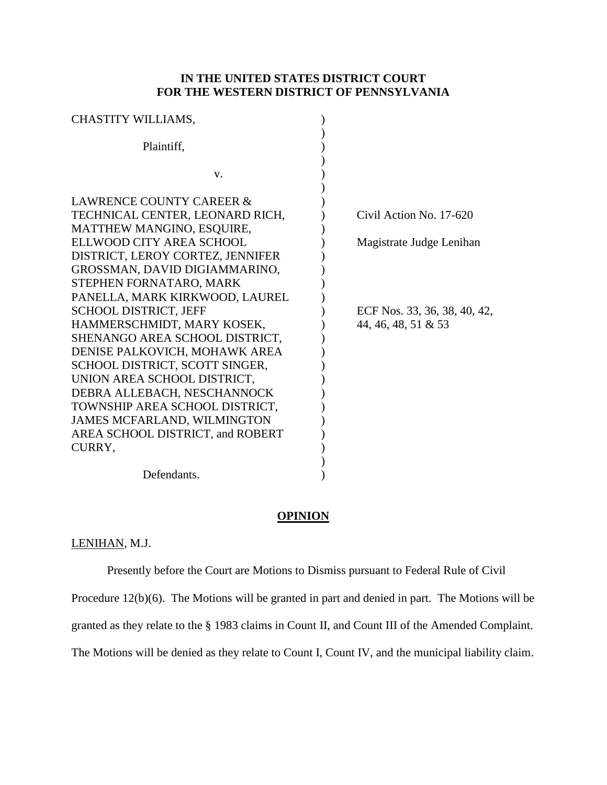# **IN THE UNITED STATES DISTRICT COURT FOR THE WESTERN DISTRICT OF PENNSYLVANIA**

| CHASTITY WILLIAMS,                 |                              |
|------------------------------------|------------------------------|
| Plaintiff,                         |                              |
|                                    |                              |
| V.                                 |                              |
| LAWRENCE COUNTY CAREER &           |                              |
| TECHNICAL CENTER, LEONARD RICH,    | Civil Action No. 17-620      |
| MATTHEW MANGINO, ESQUIRE,          |                              |
| ELLWOOD CITY AREA SCHOOL           | Magistrate Judge Lenihan     |
| DISTRICT, LEROY CORTEZ, JENNIFER   |                              |
| GROSSMAN, DAVID DIGIAMMARINO,      |                              |
| STEPHEN FORNATARO, MARK            |                              |
| PANELLA, MARK KIRKWOOD, LAUREL     |                              |
| <b>SCHOOL DISTRICT, JEFF</b>       | ECF Nos. 33, 36, 38, 40, 42, |
| HAMMERSCHMIDT, MARY KOSEK,         | 44, 46, 48, 51 & 53          |
| SHENANGO AREA SCHOOL DISTRICT.     |                              |
| DENISE PALKOVICH, MOHAWK AREA      |                              |
| SCHOOL DISTRICT, SCOTT SINGER,     |                              |
| UNION AREA SCHOOL DISTRICT,        |                              |
| DEBRA ALLEBACH, NESCHANNOCK        |                              |
| TOWNSHIP AREA SCHOOL DISTRICT,     |                              |
| <b>JAMES MCFARLAND, WILMINGTON</b> |                              |
| AREA SCHOOL DISTRICT, and ROBERT   |                              |
| CURRY,                             |                              |
|                                    |                              |
| Defendants.                        |                              |

### **OPINION**

# LENIHAN*,* M.J.

Presently before the Court are Motions to Dismiss pursuant to Federal Rule of Civil

Procedure 12(b)(6). The Motions will be granted in part and denied in part. The Motions will be

granted as they relate to the § 1983 claims in Count II, and Count III of the Amended Complaint.

The Motions will be denied as they relate to Count I, Count IV, and the municipal liability claim.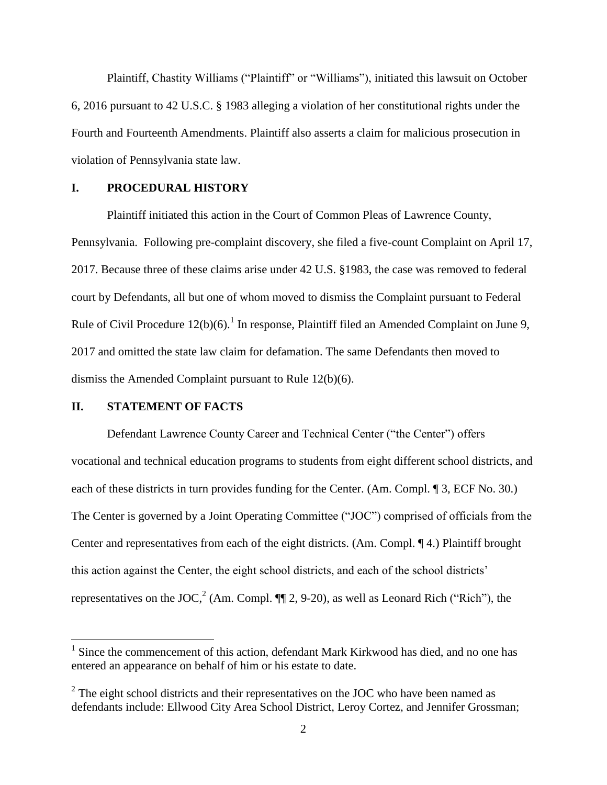Plaintiff, Chastity Williams ("Plaintiff" or "Williams"), initiated this lawsuit on October 6, 2016 pursuant to 42 U.S.C. § 1983 alleging a violation of her constitutional rights under the Fourth and Fourteenth Amendments. Plaintiff also asserts a claim for malicious prosecution in violation of Pennsylvania state law.

## **I. PROCEDURAL HISTORY**

Plaintiff initiated this action in the Court of Common Pleas of Lawrence County, Pennsylvania. Following pre-complaint discovery, she filed a five-count Complaint on April 17, 2017. Because three of these claims arise under 42 U.S. §1983, the case was removed to federal court by Defendants, all but one of whom moved to dismiss the Complaint pursuant to Federal Rule of Civil Procedure  $12(b)(6)$ .<sup>1</sup> In response, Plaintiff filed an Amended Complaint on June 9, 2017 and omitted the state law claim for defamation. The same Defendants then moved to dismiss the Amended Complaint pursuant to Rule 12(b)(6).

### **II. STATEMENT OF FACTS**

 $\overline{a}$ 

Defendant Lawrence County Career and Technical Center ("the Center") offers vocational and technical education programs to students from eight different school districts, and each of these districts in turn provides funding for the Center. (Am. Compl. ¶ 3, ECF No. 30.) The Center is governed by a Joint Operating Committee ("JOC") comprised of officials from the Center and representatives from each of the eight districts. (Am. Compl. ¶ 4.) Plaintiff brought this action against the Center, the eight school districts, and each of the school districts' representatives on the JOC,<sup>2</sup> (Am. Compl.  $\P\P$  2, 9-20), as well as Leonard Rich ("Rich"), the

<sup>&</sup>lt;sup>1</sup> Since the commencement of this action, defendant Mark Kirkwood has died, and no one has entered an appearance on behalf of him or his estate to date.

 $2^2$  The eight school districts and their representatives on the JOC who have been named as defendants include: Ellwood City Area School District, Leroy Cortez, and Jennifer Grossman;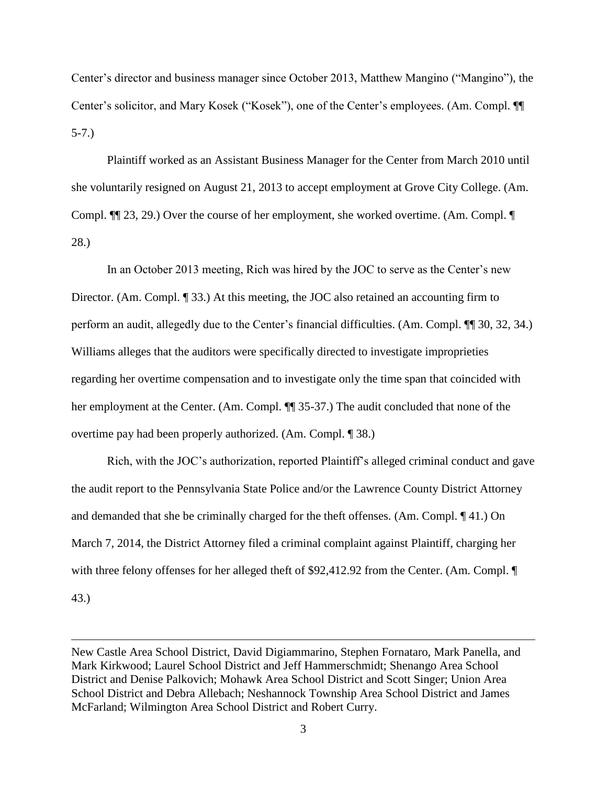Center's director and business manager since October 2013, Matthew Mangino ("Mangino"), the Center's solicitor, and Mary Kosek ("Kosek"), one of the Center's employees. (Am. Compl. ¶¶ 5-7.)

Plaintiff worked as an Assistant Business Manager for the Center from March 2010 until she voluntarily resigned on August 21, 2013 to accept employment at Grove City College. (Am. Compl. ¶¶ 23, 29.) Over the course of her employment, she worked overtime. (Am. Compl. ¶ 28.)

In an October 2013 meeting, Rich was hired by the JOC to serve as the Center's new Director. (Am. Compl. ¶ 33.) At this meeting, the JOC also retained an accounting firm to perform an audit, allegedly due to the Center's financial difficulties. (Am. Compl. ¶¶ 30, 32, 34.) Williams alleges that the auditors were specifically directed to investigate improprieties regarding her overtime compensation and to investigate only the time span that coincided with her employment at the Center. (Am. Compl. ¶¶ 35-37.) The audit concluded that none of the overtime pay had been properly authorized. (Am. Compl. ¶ 38.)

Rich, with the JOC's authorization, reported Plaintiff's alleged criminal conduct and gave the audit report to the Pennsylvania State Police and/or the Lawrence County District Attorney and demanded that she be criminally charged for the theft offenses. (Am. Compl. ¶ 41.) On March 7, 2014, the District Attorney filed a criminal complaint against Plaintiff, charging her with three felony offenses for her alleged theft of \$92,412.92 from the Center. (Am. Compl.  $\P$ 

43.)

New Castle Area School District, David Digiammarino, Stephen Fornataro, Mark Panella, and Mark Kirkwood; Laurel School District and Jeff Hammerschmidt; Shenango Area School District and Denise Palkovich; Mohawk Area School District and Scott Singer; Union Area School District and Debra Allebach; Neshannock Township Area School District and James McFarland; Wilmington Area School District and Robert Curry.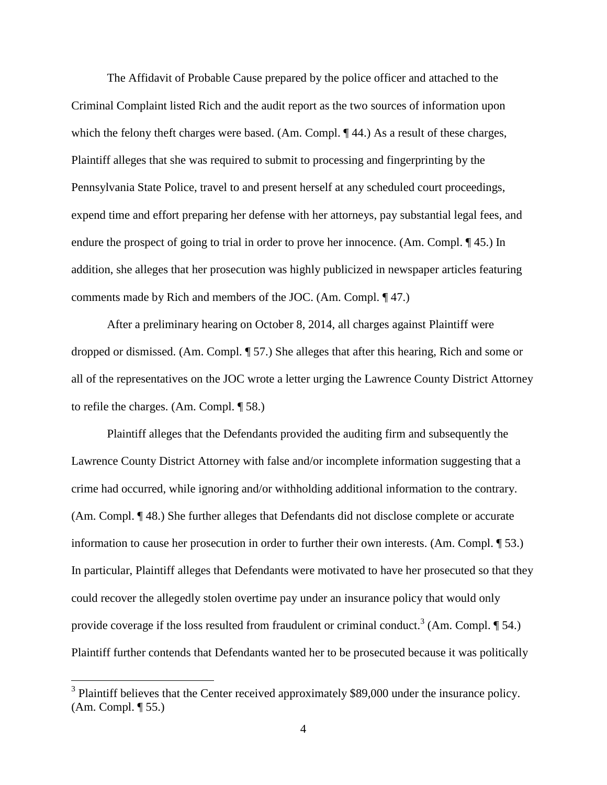The Affidavit of Probable Cause prepared by the police officer and attached to the Criminal Complaint listed Rich and the audit report as the two sources of information upon which the felony theft charges were based. (Am. Compl. ¶ 44.) As a result of these charges, Plaintiff alleges that she was required to submit to processing and fingerprinting by the Pennsylvania State Police, travel to and present herself at any scheduled court proceedings, expend time and effort preparing her defense with her attorneys, pay substantial legal fees, and endure the prospect of going to trial in order to prove her innocence. (Am. Compl. ¶ 45.) In addition, she alleges that her prosecution was highly publicized in newspaper articles featuring comments made by Rich and members of the JOC. (Am. Compl. ¶ 47.)

After a preliminary hearing on October 8, 2014, all charges against Plaintiff were dropped or dismissed. (Am. Compl. ¶ 57.) She alleges that after this hearing, Rich and some or all of the representatives on the JOC wrote a letter urging the Lawrence County District Attorney to refile the charges. (Am. Compl. ¶ 58.)

Plaintiff alleges that the Defendants provided the auditing firm and subsequently the Lawrence County District Attorney with false and/or incomplete information suggesting that a crime had occurred, while ignoring and/or withholding additional information to the contrary. (Am. Compl. ¶ 48.) She further alleges that Defendants did not disclose complete or accurate information to cause her prosecution in order to further their own interests. (Am. Compl. ¶ 53.) In particular, Plaintiff alleges that Defendants were motivated to have her prosecuted so that they could recover the allegedly stolen overtime pay under an insurance policy that would only provide coverage if the loss resulted from fraudulent or criminal conduct.<sup>3</sup> (Am. Compl.  $\P$  54.) Plaintiff further contends that Defendants wanted her to be prosecuted because it was politically

<sup>&</sup>lt;sup>3</sup> Plaintiff believes that the Center received approximately \$89,000 under the insurance policy. (Am. Compl. ¶ 55.)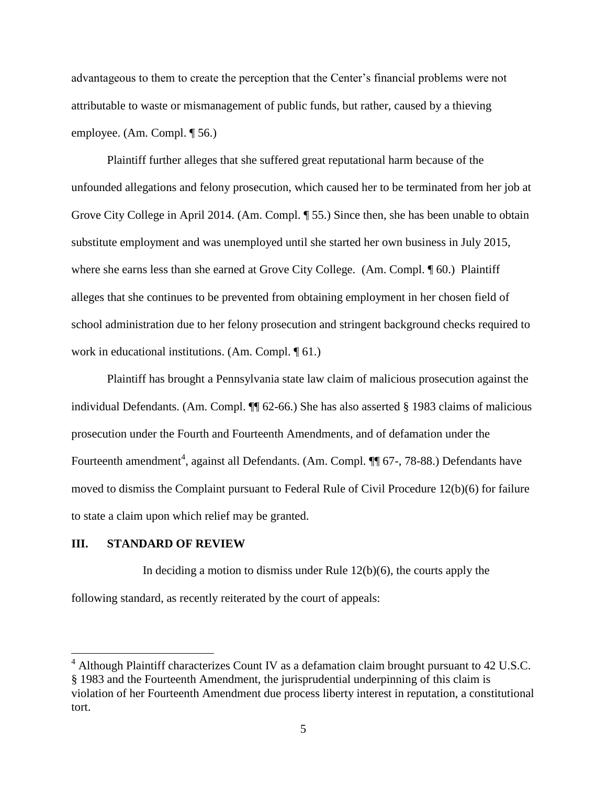advantageous to them to create the perception that the Center's financial problems were not attributable to waste or mismanagement of public funds, but rather, caused by a thieving employee. (Am. Compl. ¶ 56.)

Plaintiff further alleges that she suffered great reputational harm because of the unfounded allegations and felony prosecution, which caused her to be terminated from her job at Grove City College in April 2014. (Am. Compl. ¶ 55.) Since then, she has been unable to obtain substitute employment and was unemployed until she started her own business in July 2015, where she earns less than she earned at Grove City College. (Am. Compl.  $\P$  60.) Plaintiff alleges that she continues to be prevented from obtaining employment in her chosen field of school administration due to her felony prosecution and stringent background checks required to work in educational institutions. (Am. Compl. ¶ 61.)

Plaintiff has brought a Pennsylvania state law claim of malicious prosecution against the individual Defendants. (Am. Compl. ¶¶ 62-66.) She has also asserted § 1983 claims of malicious prosecution under the Fourth and Fourteenth Amendments, and of defamation under the Fourteenth amendment<sup>4</sup>, against all Defendants. (Am. Compl. ¶ 67-, 78-88.) Defendants have moved to dismiss the Complaint pursuant to Federal Rule of Civil Procedure 12(b)(6) for failure to state a claim upon which relief may be granted.

## **III. STANDARD OF REVIEW**

 $\overline{a}$ 

In deciding a motion to dismiss under Rule 12(b)(6), the courts apply the following standard, as recently reiterated by the court of appeals:

 $<sup>4</sup>$  Although Plaintiff characterizes Count IV as a defamation claim brought pursuant to 42 U.S.C.</sup> § 1983 and the Fourteenth Amendment, the jurisprudential underpinning of this claim is violation of her Fourteenth Amendment due process liberty interest in reputation, a constitutional tort.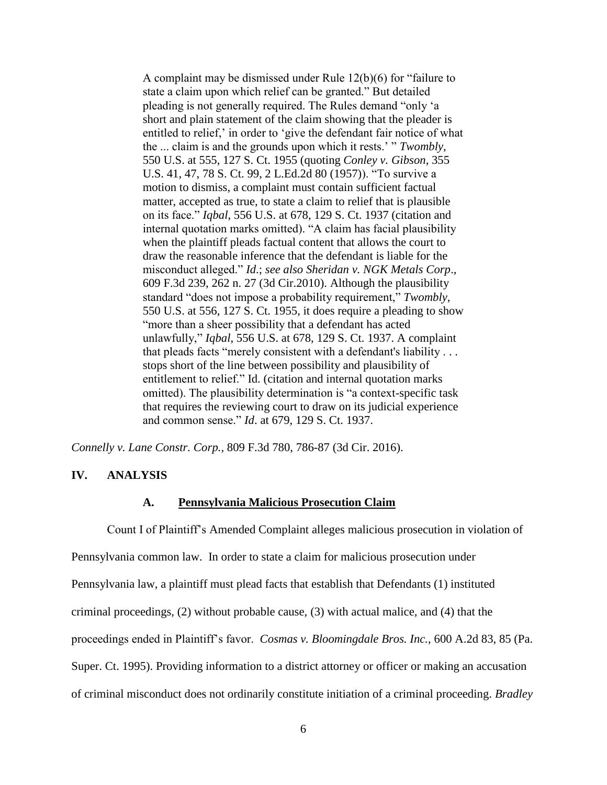A complaint may be dismissed under Rule 12(b)(6) for "failure to state a claim upon which relief can be granted." But detailed pleading is not generally required. The Rules demand "only 'a short and plain statement of the claim showing that the pleader is entitled to relief,' in order to 'give the defendant fair notice of what the ... claim is and the grounds upon which it rests.' " *Twombly*, 550 U.S. at 555, 127 S. Ct. 1955 (quoting *Conley v. Gibson*, 355 U.S. 41, 47, 78 S. Ct. 99, 2 L.Ed.2d 80 (1957)). "To survive a motion to dismiss, a complaint must contain sufficient factual matter, accepted as true, to state a claim to relief that is plausible on its face." *Iqbal*, 556 U.S. at 678, 129 S. Ct. 1937 (citation and internal quotation marks omitted). "A claim has facial plausibility when the plaintiff pleads factual content that allows the court to draw the reasonable inference that the defendant is liable for the misconduct alleged." *Id*.; *see also Sheridan v. NGK Metals Corp*., 609 F.3d 239, 262 n. 27 (3d Cir.2010). Although the plausibility standard "does not impose a probability requirement," *Twombly*, 550 U.S. at 556, 127 S. Ct. 1955, it does require a pleading to show "more than a sheer possibility that a defendant has acted unlawfully," *Iqbal*, 556 U.S. at 678, 129 S. Ct. 1937. A complaint that pleads facts "merely consistent with a defendant's liability . . . stops short of the line between possibility and plausibility of entitlement to relief." Id. (citation and internal quotation marks omitted). The plausibility determination is "a context-specific task that requires the reviewing court to draw on its judicial experience and common sense." *Id*. at 679, 129 S. Ct. 1937.

*Connelly v. Lane Constr. Corp.,* 809 F.3d 780, 786-87 (3d Cir. 2016).

### **IV. ANALYSIS**

#### **A. Pennsylvania Malicious Prosecution Claim**

Count I of Plaintiff's Amended Complaint alleges malicious prosecution in violation of Pennsylvania common law. In order to state a claim for malicious prosecution under Pennsylvania law, a plaintiff must plead facts that establish that Defendants (1) instituted criminal proceedings, (2) without probable cause, (3) with actual malice, and (4) that the proceedings ended in Plaintiff's favor. *Cosmas v. Bloomingdale Bros. Inc.*, 600 A.2d 83, 85 (Pa. Super. Ct. 1995). Providing information to a district attorney or officer or making an accusation of criminal misconduct does not ordinarily constitute initiation of a criminal proceeding. *Bradley*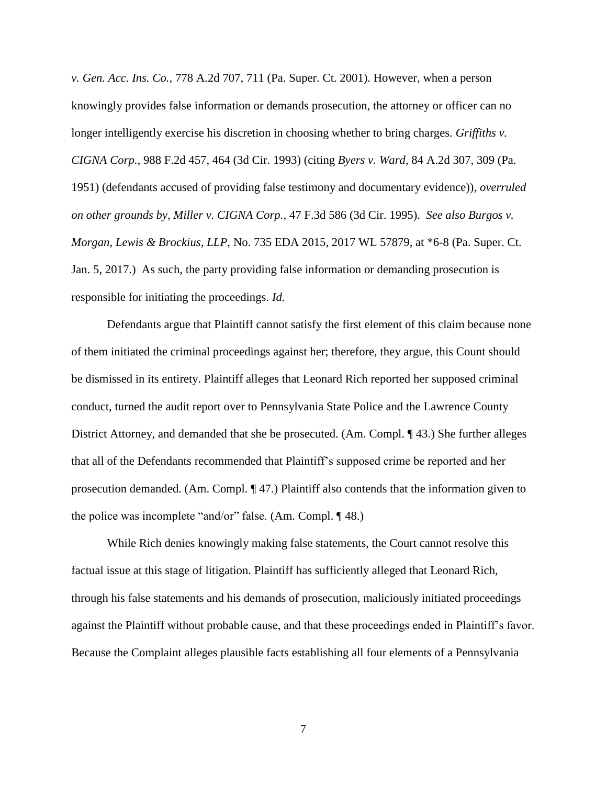*v. Gen. Acc. Ins. Co.*, 778 A.2d 707, 711 (Pa. Super. Ct. 2001). However, when a person knowingly provides false information or demands prosecution, the attorney or officer can no longer intelligently exercise his discretion in choosing whether to bring charges. *Griffiths v. CIGNA Corp.*, 988 F.2d 457, 464 (3d Cir. 1993) (citing *Byers v. Ward,* 84 A.2d 307, 309 (Pa. 1951) (defendants accused of providing false testimony and documentary evidence)), *overruled on other grounds by, Miller v. CIGNA Corp.,* 47 F.3d 586 (3d Cir. 1995). *See also Burgos v. Morgan, Lewis & Brockius, LLP,* No. 735 EDA 2015, 2017 WL 57879, at \*6-8 (Pa. Super. Ct. Jan. 5, 2017.) As such, the party providing false information or demanding prosecution is responsible for initiating the proceedings. *Id.*

Defendants argue that Plaintiff cannot satisfy the first element of this claim because none of them initiated the criminal proceedings against her; therefore, they argue, this Count should be dismissed in its entirety. Plaintiff alleges that Leonard Rich reported her supposed criminal conduct, turned the audit report over to Pennsylvania State Police and the Lawrence County District Attorney, and demanded that she be prosecuted. (Am. Compl. ¶ 43.) She further alleges that all of the Defendants recommended that Plaintiff's supposed crime be reported and her prosecution demanded. (Am. Compl. ¶ 47.) Plaintiff also contends that the information given to the police was incomplete "and/or" false. (Am. Compl. ¶ 48.)

While Rich denies knowingly making false statements, the Court cannot resolve this factual issue at this stage of litigation. Plaintiff has sufficiently alleged that Leonard Rich, through his false statements and his demands of prosecution, maliciously initiated proceedings against the Plaintiff without probable cause, and that these proceedings ended in Plaintiff's favor. Because the Complaint alleges plausible facts establishing all four elements of a Pennsylvania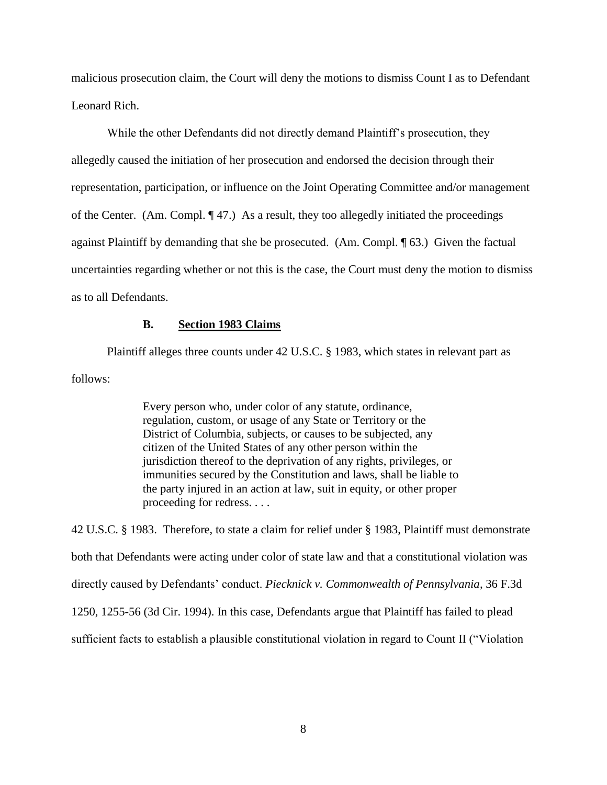malicious prosecution claim, the Court will deny the motions to dismiss Count I as to Defendant Leonard Rich.

While the other Defendants did not directly demand Plaintiff's prosecution, they allegedly caused the initiation of her prosecution and endorsed the decision through their representation, participation, or influence on the Joint Operating Committee and/or management of the Center. (Am. Compl. ¶ 47.) As a result, they too allegedly initiated the proceedings against Plaintiff by demanding that she be prosecuted. (Am. Compl. ¶ 63.) Given the factual uncertainties regarding whether or not this is the case, the Court must deny the motion to dismiss as to all Defendants.

#### **B. Section 1983 Claims**

Plaintiff alleges three counts under 42 U.S.C. § 1983, which states in relevant part as follows:

> Every person who, under color of any statute, ordinance, regulation, custom, or usage of any State or Territory or the District of Columbia, subjects, or causes to be subjected, any citizen of the United States of any other person within the jurisdiction thereof to the deprivation of any rights, privileges, or immunities secured by the Constitution and laws, shall be liable to the party injured in an action at law, suit in equity, or other proper proceeding for redress. . . .

42 U.S.C. § 1983. Therefore, to state a claim for relief under § 1983, Plaintiff must demonstrate both that Defendants were acting under color of state law and that a constitutional violation was directly caused by Defendants' conduct. *Piecknick v. Commonwealth of Pennsylvania*, 36 F.3d 1250, 1255-56 (3d Cir. 1994). In this case, Defendants argue that Plaintiff has failed to plead sufficient facts to establish a plausible constitutional violation in regard to Count II ("Violation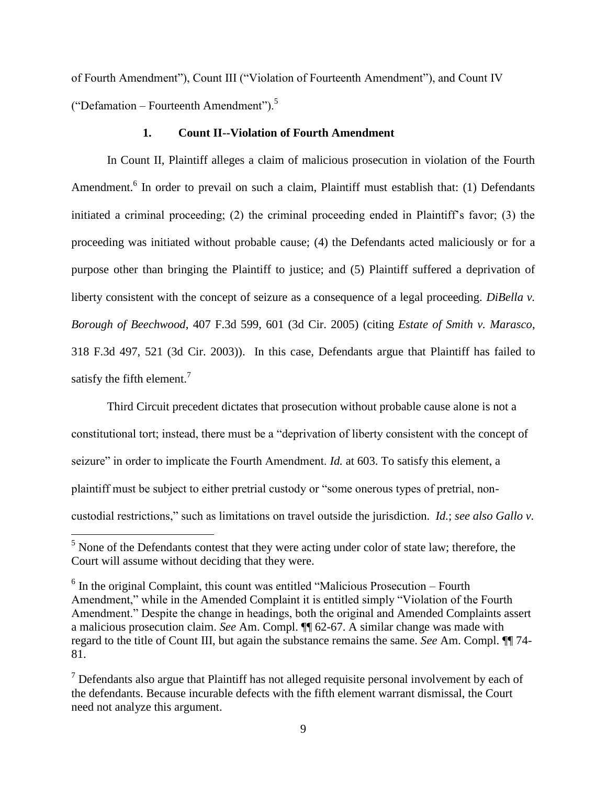of Fourth Amendment"), Count III ("Violation of Fourteenth Amendment"), and Count IV ("Defamation – Fourteenth Amendment").<sup>5</sup>

### **1. Count II--Violation of Fourth Amendment**

In Count II, Plaintiff alleges a claim of malicious prosecution in violation of the Fourth Amendment.<sup>6</sup> In order to prevail on such a claim, Plaintiff must establish that: (1) Defendants initiated a criminal proceeding; (2) the criminal proceeding ended in Plaintiff's favor; (3) the proceeding was initiated without probable cause; (4) the Defendants acted maliciously or for a purpose other than bringing the Plaintiff to justice; and (5) Plaintiff suffered a deprivation of liberty consistent with the concept of seizure as a consequence of a legal proceeding. *DiBella v. Borough of Beechwood*, 407 F.3d 599, 601 (3d Cir. 2005) (citing *Estate of Smith v. Marasco*, 318 F.3d 497, 521 (3d Cir. 2003)). In this case, Defendants argue that Plaintiff has failed to satisfy the fifth element.<sup>7</sup>

Third Circuit precedent dictates that prosecution without probable cause alone is not a constitutional tort; instead, there must be a "deprivation of liberty consistent with the concept of seizure" in order to implicate the Fourth Amendment. *Id.* at 603. To satisfy this element, a plaintiff must be subject to either pretrial custody or "some onerous types of pretrial, noncustodial restrictions," such as limitations on travel outside the jurisdiction. *Id.*; *see also Gallo v.* 

 $<sup>5</sup>$  None of the Defendants contest that they were acting under color of state law; therefore, the</sup> Court will assume without deciding that they were.

 $6$  In the original Complaint, this count was entitled "Malicious Prosecution – Fourth Amendment," while in the Amended Complaint it is entitled simply "Violation of the Fourth Amendment." Despite the change in headings, both the original and Amended Complaints assert a malicious prosecution claim. *See* Am. Compl. ¶¶ 62-67. A similar change was made with regard to the title of Count III, but again the substance remains the same. *See* Am. Compl. ¶¶ 74- 81.

 $<sup>7</sup>$  Defendants also argue that Plaintiff has not alleged requisite personal involvement by each of</sup> the defendants. Because incurable defects with the fifth element warrant dismissal, the Court need not analyze this argument.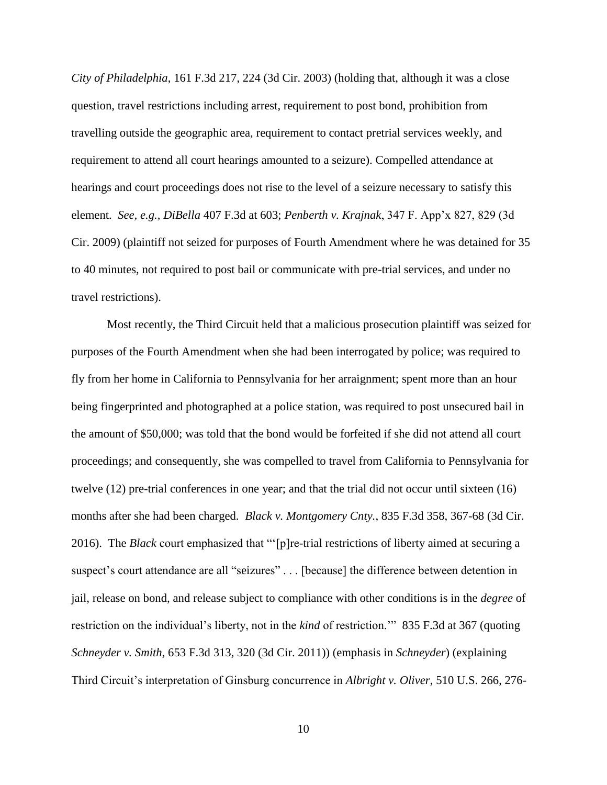*City of Philadelphia*, 161 F.3d 217, 224 (3d Cir. 2003) (holding that, although it was a close question, travel restrictions including arrest, requirement to post bond, prohibition from travelling outside the geographic area, requirement to contact pretrial services weekly, and requirement to attend all court hearings amounted to a seizure). Compelled attendance at hearings and court proceedings does not rise to the level of a seizure necessary to satisfy this element. *See, e.g., DiBella* 407 F.3d at 603; *Penberth v. Krajnak*, 347 F. App'x 827, 829 (3d Cir. 2009) (plaintiff not seized for purposes of Fourth Amendment where he was detained for 35 to 40 minutes, not required to post bail or communicate with pre-trial services, and under no travel restrictions).

Most recently, the Third Circuit held that a malicious prosecution plaintiff was seized for purposes of the Fourth Amendment when she had been interrogated by police; was required to fly from her home in California to Pennsylvania for her arraignment; spent more than an hour being fingerprinted and photographed at a police station, was required to post unsecured bail in the amount of \$50,000; was told that the bond would be forfeited if she did not attend all court proceedings; and consequently, she was compelled to travel from California to Pennsylvania for twelve (12) pre-trial conferences in one year; and that the trial did not occur until sixteen (16) months after she had been charged. *Black v. Montgomery Cnty.*, 835 F.3d 358, 367-68 (3d Cir. 2016). The *Black* court emphasized that "'[p]re-trial restrictions of liberty aimed at securing a suspect's court attendance are all "seizures" . . . [because] the difference between detention in jail, release on bond, and release subject to compliance with other conditions is in the *degree* of restriction on the individual's liberty, not in the *kind* of restriction.'" 835 F.3d at 367 (quoting *Schneyder v. Smith*, 653 F.3d 313, 320 (3d Cir. 2011)) (emphasis in *Schneyder*) (explaining Third Circuit's interpretation of Ginsburg concurrence in *Albright v. Oliver*, 510 U.S. 266, 276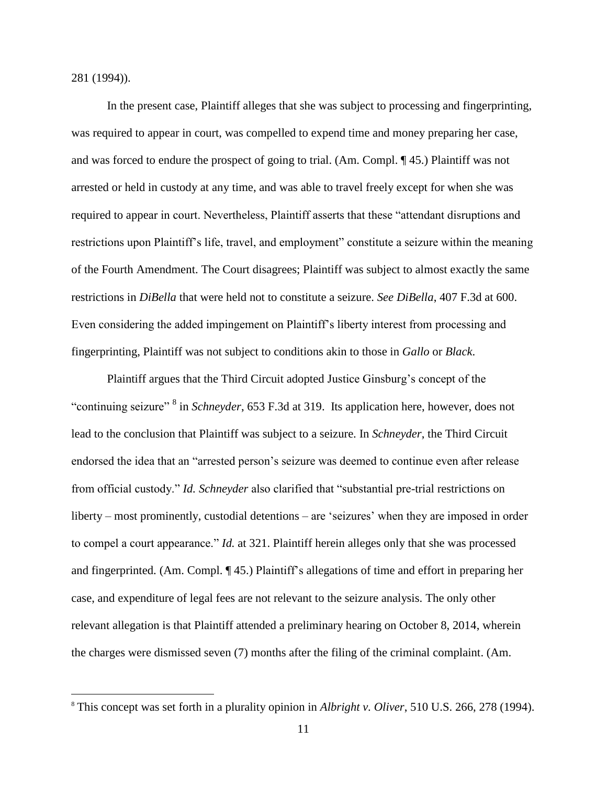281 (1994)).

 $\overline{a}$ 

In the present case, Plaintiff alleges that she was subject to processing and fingerprinting, was required to appear in court, was compelled to expend time and money preparing her case, and was forced to endure the prospect of going to trial. (Am. Compl. ¶ 45.) Plaintiff was not arrested or held in custody at any time, and was able to travel freely except for when she was required to appear in court. Nevertheless, Plaintiff asserts that these "attendant disruptions and restrictions upon Plaintiff's life, travel, and employment" constitute a seizure within the meaning of the Fourth Amendment. The Court disagrees; Plaintiff was subject to almost exactly the same restrictions in *DiBella* that were held not to constitute a seizure. *See DiBella*, 407 F.3d at 600. Even considering the added impingement on Plaintiff's liberty interest from processing and fingerprinting, Plaintiff was not subject to conditions akin to those in *Gallo* or *Black*.

Plaintiff argues that the Third Circuit adopted Justice Ginsburg's concept of the "continuing seizure" <sup>8</sup> in *Schneyder*, 653 F.3d at 319. Its application here, however, does not lead to the conclusion that Plaintiff was subject to a seizure. In *Schneyder*, the Third Circuit endorsed the idea that an "arrested person's seizure was deemed to continue even after release from official custody." *Id. Schneyder* also clarified that "substantial pre-trial restrictions on liberty – most prominently, custodial detentions – are 'seizures' when they are imposed in order to compel a court appearance." *Id.* at 321. Plaintiff herein alleges only that she was processed and fingerprinted. (Am. Compl. ¶ 45.) Plaintiff's allegations of time and effort in preparing her case, and expenditure of legal fees are not relevant to the seizure analysis. The only other relevant allegation is that Plaintiff attended a preliminary hearing on October 8, 2014, wherein the charges were dismissed seven (7) months after the filing of the criminal complaint. (Am.

<sup>8</sup> This concept was set forth in a plurality opinion in *Albright v. Oliver*, 510 U.S. 266, 278 (1994).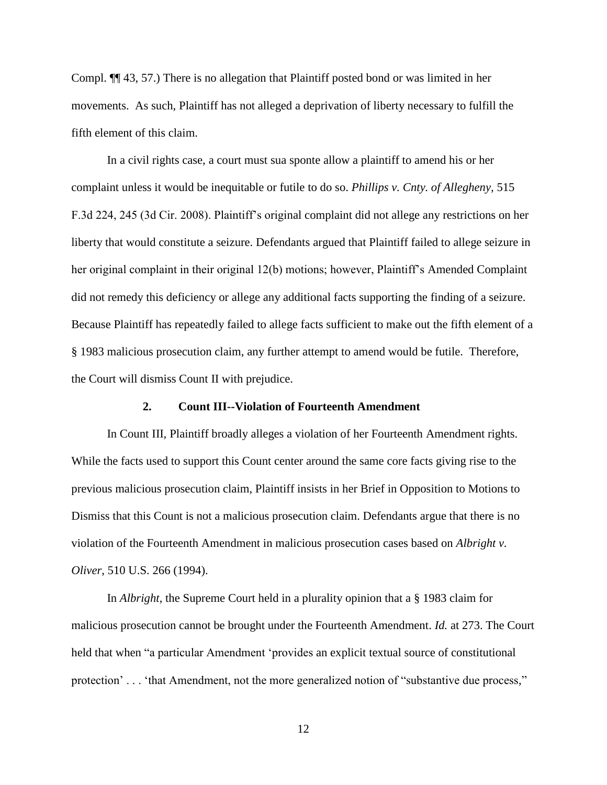Compl. ¶¶ 43, 57.) There is no allegation that Plaintiff posted bond or was limited in her movements. As such, Plaintiff has not alleged a deprivation of liberty necessary to fulfill the fifth element of this claim.

In a civil rights case, a court must sua sponte allow a plaintiff to amend his or her complaint unless it would be inequitable or futile to do so. *Phillips v. Cnty. of Allegheny,* 515 F.3d 224, 245 (3d Cir. 2008). Plaintiff's original complaint did not allege any restrictions on her liberty that would constitute a seizure. Defendants argued that Plaintiff failed to allege seizure in her original complaint in their original 12(b) motions; however, Plaintiff's Amended Complaint did not remedy this deficiency or allege any additional facts supporting the finding of a seizure. Because Plaintiff has repeatedly failed to allege facts sufficient to make out the fifth element of a § 1983 malicious prosecution claim, any further attempt to amend would be futile. Therefore, the Court will dismiss Count II with prejudice.

#### **2. Count III--Violation of Fourteenth Amendment**

In Count III, Plaintiff broadly alleges a violation of her Fourteenth Amendment rights. While the facts used to support this Count center around the same core facts giving rise to the previous malicious prosecution claim, Plaintiff insists in her Brief in Opposition to Motions to Dismiss that this Count is not a malicious prosecution claim. Defendants argue that there is no violation of the Fourteenth Amendment in malicious prosecution cases based on *Albright v. Oliver*, 510 U.S. 266 (1994).

In *Albright*, the Supreme Court held in a plurality opinion that a § 1983 claim for malicious prosecution cannot be brought under the Fourteenth Amendment. *Id.* at 273. The Court held that when "a particular Amendment 'provides an explicit textual source of constitutional protection' . . . 'that Amendment, not the more generalized notion of "substantive due process,"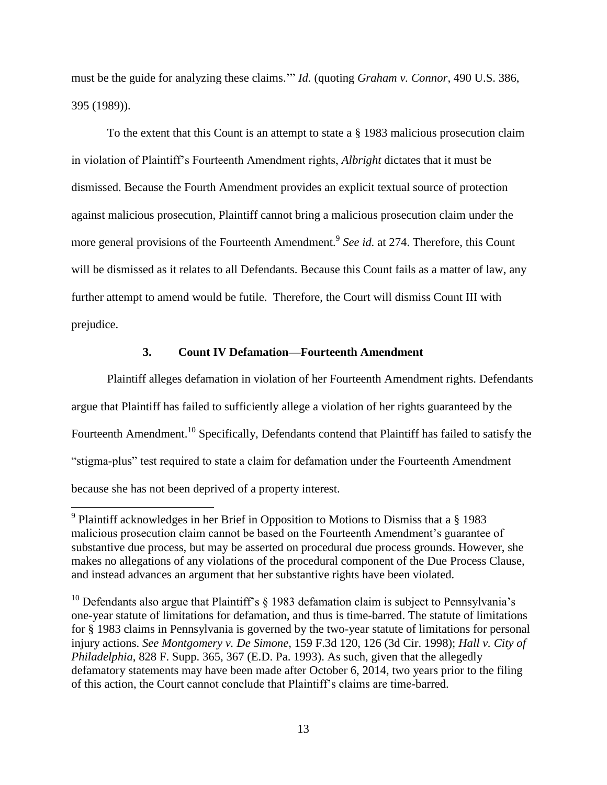must be the guide for analyzing these claims.'" *Id.* (quoting *Graham v. Connor,* 490 U.S. 386, 395 (1989)).

To the extent that this Count is an attempt to state a § 1983 malicious prosecution claim in violation of Plaintiff's Fourteenth Amendment rights, *Albright* dictates that it must be dismissed. Because the Fourth Amendment provides an explicit textual source of protection against malicious prosecution, Plaintiff cannot bring a malicious prosecution claim under the more general provisions of the Fourteenth Amendment.<sup>9</sup> See id. at 274. Therefore, this Count will be dismissed as it relates to all Defendants. Because this Count fails as a matter of law, any further attempt to amend would be futile. Therefore, the Court will dismiss Count III with prejudice.

## **3. Count IV Defamation—Fourteenth Amendment**

Plaintiff alleges defamation in violation of her Fourteenth Amendment rights. Defendants argue that Plaintiff has failed to sufficiently allege a violation of her rights guaranteed by the Fourteenth Amendment.<sup>10</sup> Specifically, Defendants contend that Plaintiff has failed to satisfy the "stigma-plus" test required to state a claim for defamation under the Fourteenth Amendment because she has not been deprived of a property interest.

<sup>&</sup>lt;sup>9</sup> Plaintiff acknowledges in her Brief in Opposition to Motions to Dismiss that a  $\S$  1983 malicious prosecution claim cannot be based on the Fourteenth Amendment's guarantee of substantive due process, but may be asserted on procedural due process grounds. However, she makes no allegations of any violations of the procedural component of the Due Process Clause, and instead advances an argument that her substantive rights have been violated.

<sup>&</sup>lt;sup>10</sup> Defendants also argue that Plaintiff's  $\S$  1983 defamation claim is subject to Pennsylvania's one-year statute of limitations for defamation, and thus is time-barred. The statute of limitations for § 1983 claims in Pennsylvania is governed by the two-year statute of limitations for personal injury actions. *See Montgomery v. De Simone*, 159 F.3d 120, 126 (3d Cir. 1998); *Hall v. City of Philadelphia*, 828 F. Supp. 365, 367 (E.D. Pa. 1993). As such, given that the allegedly defamatory statements may have been made after October 6, 2014, two years prior to the filing of this action, the Court cannot conclude that Plaintiff's claims are time-barred.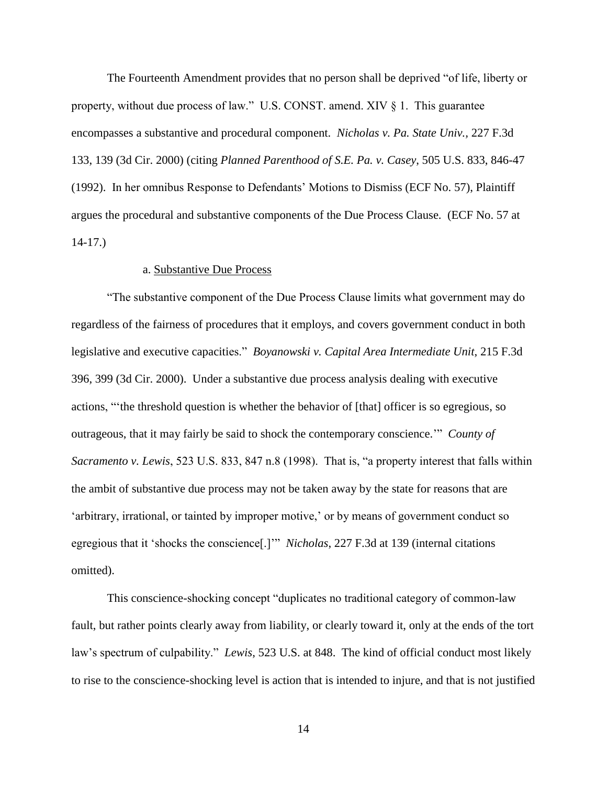The Fourteenth Amendment provides that no person shall be deprived "of life, liberty or property, without due process of law." U.S. CONST. amend. XIV § 1. This guarantee encompasses a substantive and procedural component. *Nicholas v. Pa. State Univ.,* 227 F.3d 133, 139 (3d Cir. 2000) (citing *Planned Parenthood of S.E. Pa. v. Casey*, 505 U.S. 833, 846-47 (1992). In her omnibus Response to Defendants' Motions to Dismiss (ECF No. 57), Plaintiff argues the procedural and substantive components of the Due Process Clause. (ECF No. 57 at 14-17.)

#### a. Substantive Due Process

"The substantive component of the Due Process Clause limits what government may do regardless of the fairness of procedures that it employs, and covers government conduct in both legislative and executive capacities." *Boyanowski v. Capital Area Intermediate Unit*, 215 F.3d 396, 399 (3d Cir. 2000). Under a substantive due process analysis dealing with executive actions, "'the threshold question is whether the behavior of [that] officer is so egregious, so outrageous, that it may fairly be said to shock the contemporary conscience.'" *County of Sacramento v. Lewis*, 523 U.S. 833, 847 n.8 (1998). That is, "a property interest that falls within the ambit of substantive due process may not be taken away by the state for reasons that are 'arbitrary, irrational, or tainted by improper motive,' or by means of government conduct so egregious that it 'shocks the conscience[.]'" *Nicholas*, 227 F.3d at 139 (internal citations omitted).

This conscience-shocking concept "duplicates no traditional category of common-law fault, but rather points clearly away from liability, or clearly toward it, only at the ends of the tort law's spectrum of culpability." *Lewis*, 523 U.S. at 848. The kind of official conduct most likely to rise to the conscience-shocking level is action that is intended to injure, and that is not justified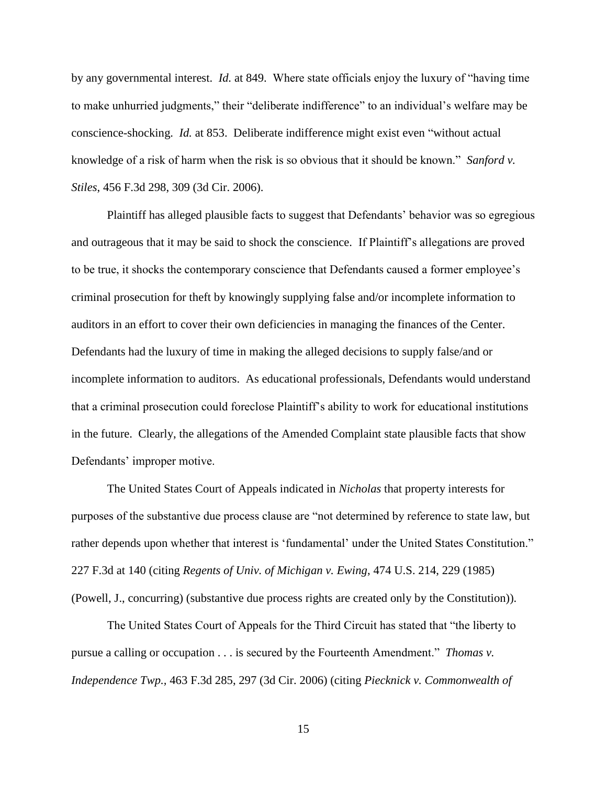by any governmental interest. *Id.* at 849. Where state officials enjoy the luxury of "having time to make unhurried judgments," their "deliberate indifference" to an individual's welfare may be conscience-shocking. *Id.* at 853. Deliberate indifference might exist even "without actual knowledge of a risk of harm when the risk is so obvious that it should be known." *Sanford v. Stiles*, 456 F.3d 298, 309 (3d Cir. 2006).

Plaintiff has alleged plausible facts to suggest that Defendants' behavior was so egregious and outrageous that it may be said to shock the conscience. If Plaintiff's allegations are proved to be true, it shocks the contemporary conscience that Defendants caused a former employee's criminal prosecution for theft by knowingly supplying false and/or incomplete information to auditors in an effort to cover their own deficiencies in managing the finances of the Center. Defendants had the luxury of time in making the alleged decisions to supply false/and or incomplete information to auditors. As educational professionals, Defendants would understand that a criminal prosecution could foreclose Plaintiff's ability to work for educational institutions in the future. Clearly, the allegations of the Amended Complaint state plausible facts that show Defendants' improper motive.

The United States Court of Appeals indicated in *Nicholas* that property interests for purposes of the substantive due process clause are "not determined by reference to state law, but rather depends upon whether that interest is 'fundamental' under the United States Constitution." 227 F.3d at 140 (citing *Regents of Univ. of Michigan v. Ewing*, 474 U.S. 214, 229 (1985) (Powell, J., concurring) (substantive due process rights are created only by the Constitution)).

The United States Court of Appeals for the Third Circuit has stated that "the liberty to pursue a calling or occupation . . . is secured by the Fourteenth Amendment." *Thomas v. Independence Twp.,* 463 F.3d 285, 297 (3d Cir. 2006) (citing *Piecknick v. Commonwealth of*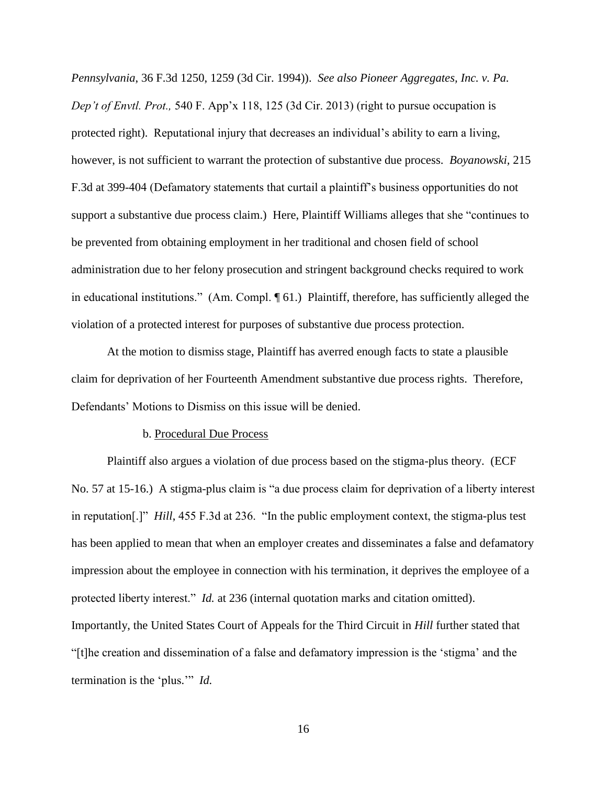*Pennsylvania*, 36 F.3d 1250, 1259 (3d Cir. 1994)). *See also Pioneer Aggregates, Inc. v. Pa. Dep't of Envtl. Prot.,* 540 F. App'x 118, 125 (3d Cir. 2013) (right to pursue occupation is protected right). Reputational injury that decreases an individual's ability to earn a living, however, is not sufficient to warrant the protection of substantive due process. *Boyanowski,* 215 F.3d at 399-404 (Defamatory statements that curtail a plaintiff's business opportunities do not support a substantive due process claim.) Here, Plaintiff Williams alleges that she "continues to be prevented from obtaining employment in her traditional and chosen field of school administration due to her felony prosecution and stringent background checks required to work in educational institutions." (Am. Compl. ¶ 61.) Plaintiff, therefore, has sufficiently alleged the violation of a protected interest for purposes of substantive due process protection.

At the motion to dismiss stage, Plaintiff has averred enough facts to state a plausible claim for deprivation of her Fourteenth Amendment substantive due process rights. Therefore, Defendants' Motions to Dismiss on this issue will be denied.

#### b. Procedural Due Process

Plaintiff also argues a violation of due process based on the stigma-plus theory. (ECF No. 57 at 15-16.) A stigma-plus claim is "a due process claim for deprivation of a liberty interest in reputation[.]" *Hill*, 455 F.3d at 236. "In the public employment context, the stigma-plus test has been applied to mean that when an employer creates and disseminates a false and defamatory impression about the employee in connection with his termination, it deprives the employee of a protected liberty interest." *Id.* at 236 (internal quotation marks and citation omitted). Importantly, the United States Court of Appeals for the Third Circuit in *Hill* further stated that "[t]he creation and dissemination of a false and defamatory impression is the 'stigma' and the termination is the 'plus.'" *Id.*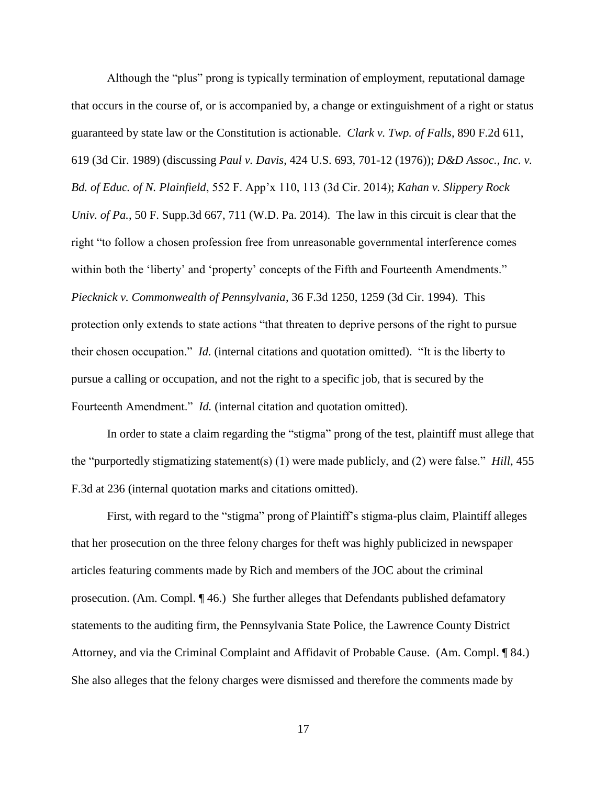Although the "plus" prong is typically termination of employment, reputational damage that occurs in the course of, or is accompanied by, a change or extinguishment of a right or status guaranteed by state law or the Constitution is actionable. *Clark v. Twp. of Falls*, 890 F.2d 611, 619 (3d Cir. 1989) (discussing *Paul v. Davis*, 424 U.S. 693, 701-12 (1976)); *D&D Assoc., Inc. v. Bd. of Educ. of N. Plainfield*, 552 F. App'x 110, 113 (3d Cir. 2014); *Kahan v. Slippery Rock Univ. of Pa.*, 50 F. Supp.3d 667, 711 (W.D. Pa. 2014). The law in this circuit is clear that the right "to follow a chosen profession free from unreasonable governmental interference comes within both the 'liberty' and 'property' concepts of the Fifth and Fourteenth Amendments." *Piecknick v. Commonwealth of Pennsylvania*, 36 F.3d 1250, 1259 (3d Cir. 1994). This protection only extends to state actions "that threaten to deprive persons of the right to pursue their chosen occupation." *Id.* (internal citations and quotation omitted)."It is the liberty to pursue a calling or occupation, and not the right to a specific job, that is secured by the Fourteenth Amendment." *Id.* (internal citation and quotation omitted).

In order to state a claim regarding the "stigma" prong of the test, plaintiff must allege that the "purportedly stigmatizing statement(s) (1) were made publicly, and (2) were false." *Hill*, 455 F.3d at 236 (internal quotation marks and citations omitted).

First, with regard to the "stigma" prong of Plaintiff's stigma-plus claim, Plaintiff alleges that her prosecution on the three felony charges for theft was highly publicized in newspaper articles featuring comments made by Rich and members of the JOC about the criminal prosecution. (Am. Compl. ¶ 46.) She further alleges that Defendants published defamatory statements to the auditing firm, the Pennsylvania State Police, the Lawrence County District Attorney, and via the Criminal Complaint and Affidavit of Probable Cause. (Am. Compl. ¶ 84.) She also alleges that the felony charges were dismissed and therefore the comments made by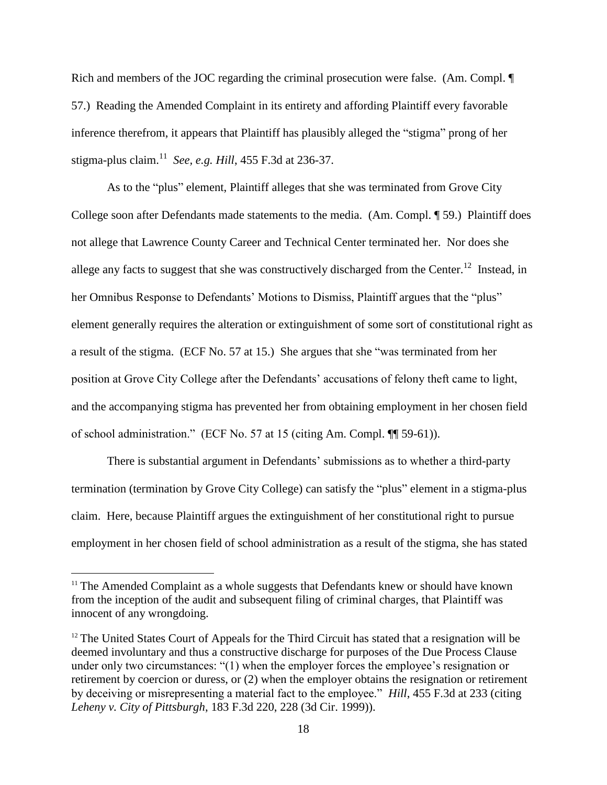Rich and members of the JOC regarding the criminal prosecution were false. (Am. Compl.  $\P$ 57.) Reading the Amended Complaint in its entirety and affording Plaintiff every favorable inference therefrom, it appears that Plaintiff has plausibly alleged the "stigma" prong of her stigma-plus claim.<sup>11</sup> *See, e.g. Hill*, 455 F.3d at 236-37.

As to the "plus" element, Plaintiff alleges that she was terminated from Grove City College soon after Defendants made statements to the media. (Am. Compl. ¶ 59.) Plaintiff does not allege that Lawrence County Career and Technical Center terminated her. Nor does she allege any facts to suggest that she was constructively discharged from the Center.<sup>12</sup> Instead, in her Omnibus Response to Defendants' Motions to Dismiss, Plaintiff argues that the "plus" element generally requires the alteration or extinguishment of some sort of constitutional right as a result of the stigma. (ECF No. 57 at 15.) She argues that she "was terminated from her position at Grove City College after the Defendants' accusations of felony theft came to light, and the accompanying stigma has prevented her from obtaining employment in her chosen field of school administration." (ECF No. 57 at 15 (citing Am. Compl. ¶¶ 59-61)).

There is substantial argument in Defendants' submissions as to whether a third-party termination (termination by Grove City College) can satisfy the "plus" element in a stigma-plus claim. Here, because Plaintiff argues the extinguishment of her constitutional right to pursue employment in her chosen field of school administration as a result of the stigma, she has stated

<sup>&</sup>lt;sup>11</sup> The Amended Complaint as a whole suggests that Defendants knew or should have known from the inception of the audit and subsequent filing of criminal charges, that Plaintiff was innocent of any wrongdoing.

 $12$  The United States Court of Appeals for the Third Circuit has stated that a resignation will be deemed involuntary and thus a constructive discharge for purposes of the Due Process Clause under only two circumstances: "(1) when the employer forces the employee's resignation or retirement by coercion or duress, or (2) when the employer obtains the resignation or retirement by deceiving or misrepresenting a material fact to the employee." *Hill*, 455 F.3d at 233 (citing *Leheny v. City of Pittsburgh*, 183 F.3d 220, 228 (3d Cir. 1999)).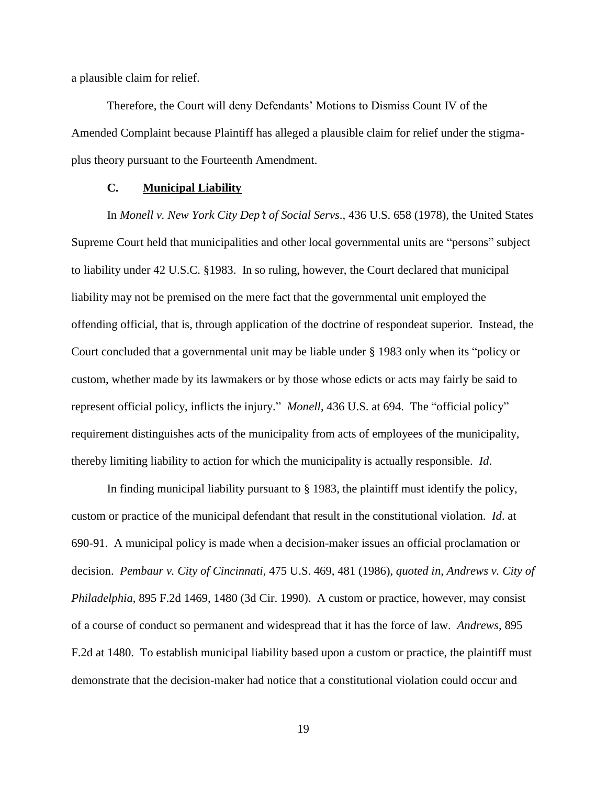a plausible claim for relief.

Therefore, the Court will deny Defendants' Motions to Dismiss Count IV of the Amended Complaint because Plaintiff has alleged a plausible claim for relief under the stigmaplus theory pursuant to the Fourteenth Amendment.

### **C. Municipal Liability**

In *Monell v. New York City Dep't of Social Servs.*, 436 U.S. 658 (1978), the United States Supreme Court held that municipalities and other local governmental units are "persons" subject to liability under 42 U.S.C. §1983. In so ruling, however, the Court declared that municipal liability may not be premised on the mere fact that the governmental unit employed the offending official, that is, through application of the doctrine of respondeat superior. Instead, the Court concluded that a governmental unit may be liable under § 1983 only when its "policy or custom, whether made by its lawmakers or by those whose edicts or acts may fairly be said to represent official policy, inflicts the injury." *Monell*, 436 U.S. at 694. The "official policy" requirement distinguishes acts of the municipality from acts of employees of the municipality, thereby limiting liability to action for which the municipality is actually responsible. *Id*.

In finding municipal liability pursuant to § 1983, the plaintiff must identify the policy, custom or practice of the municipal defendant that result in the constitutional violation. *Id*. at 690-91. A municipal policy is made when a decision-maker issues an official proclamation or decision. *Pembaur v. City of Cincinnati*, 475 U.S. 469, 481 (1986), *quoted in*, *Andrews v. City of Philadelphia*, 895 F.2d 1469, 1480 (3d Cir. 1990). A custom or practice, however, may consist of a course of conduct so permanent and widespread that it has the force of law. *Andrews*, 895 F.2d at 1480. To establish municipal liability based upon a custom or practice, the plaintiff must demonstrate that the decision-maker had notice that a constitutional violation could occur and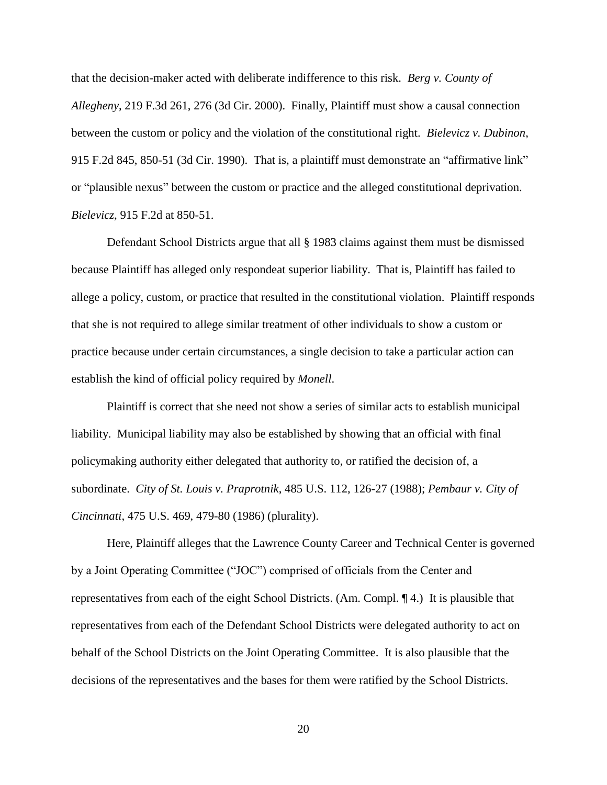that the decision-maker acted with deliberate indifference to this risk. *Berg v. County of Allegheny*, 219 F.3d 261, 276 (3d Cir. 2000). Finally, Plaintiff must show a causal connection between the custom or policy and the violation of the constitutional right. *Bielevicz v. Dubinon*, 915 F.2d 845, 850-51 (3d Cir. 1990). That is, a plaintiff must demonstrate an "affirmative link" or "plausible nexus" between the custom or practice and the alleged constitutional deprivation. *Bielevicz*, 915 F.2d at 850-51.

Defendant School Districts argue that all § 1983 claims against them must be dismissed because Plaintiff has alleged only respondeat superior liability. That is, Plaintiff has failed to allege a policy, custom, or practice that resulted in the constitutional violation. Plaintiff responds that she is not required to allege similar treatment of other individuals to show a custom or practice because under certain circumstances, a single decision to take a particular action can establish the kind of official policy required by *Monell*.

Plaintiff is correct that she need not show a series of similar acts to establish municipal liability. Municipal liability may also be established by showing that an official with final policymaking authority either delegated that authority to, or ratified the decision of, a subordinate. *City of St. Louis v. Praprotnik*, 485 U.S. 112, 126-27 (1988); *Pembaur v. City of Cincinnati*, 475 U.S. 469, 479-80 (1986) (plurality).

Here, Plaintiff alleges that the Lawrence County Career and Technical Center is governed by a Joint Operating Committee ("JOC") comprised of officials from the Center and representatives from each of the eight School Districts. (Am. Compl. ¶ 4.) It is plausible that representatives from each of the Defendant School Districts were delegated authority to act on behalf of the School Districts on the Joint Operating Committee. It is also plausible that the decisions of the representatives and the bases for them were ratified by the School Districts.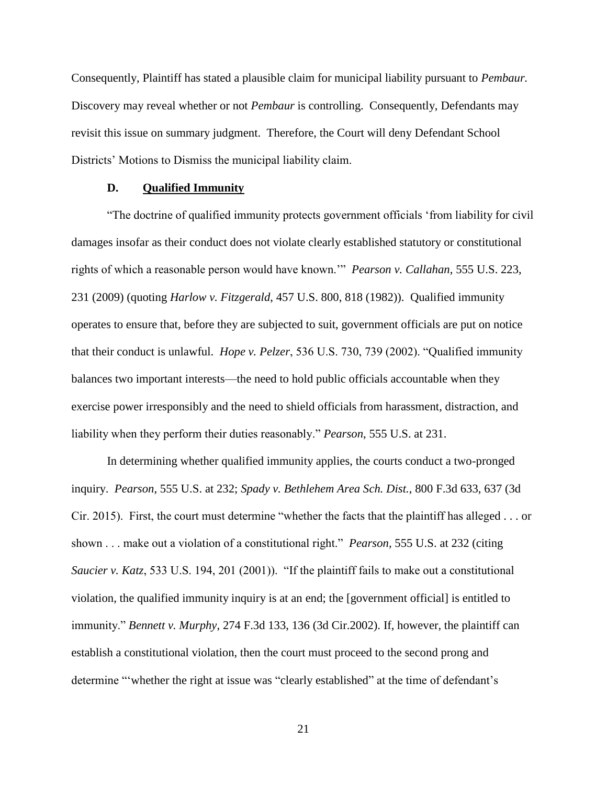Consequently, Plaintiff has stated a plausible claim for municipal liability pursuant to *Pembaur.*  Discovery may reveal whether or not *Pembaur* is controlling. Consequently, Defendants may revisit this issue on summary judgment. Therefore, the Court will deny Defendant School Districts' Motions to Dismiss the municipal liability claim.

#### **D. Qualified Immunity**

"The doctrine of qualified immunity protects government officials 'from liability for civil damages insofar as their conduct does not violate clearly established statutory or constitutional rights of which a reasonable person would have known.'" *Pearson v. Callahan*, 555 U.S. 223, 231 (2009) (quoting *Harlow v. Fitzgerald*, 457 U.S. 800, 818 (1982)). Qualified immunity operates to ensure that, before they are subjected to suit, government officials are put on notice that their conduct is unlawful. *Hope v. Pelzer*, 536 U.S. 730, 739 (2002). "Qualified immunity balances two important interests—the need to hold public officials accountable when they exercise power irresponsibly and the need to shield officials from harassment, distraction, and liability when they perform their duties reasonably." *Pearson*, 555 U.S. at 231.

In determining whether qualified immunity applies, the courts conduct a two-pronged inquiry. *Pearson*, 555 U.S. at 232; *Spady v. Bethlehem Area Sch. Dist.*, 800 F.3d 633, 637 (3d Cir. 2015). First, the court must determine "whether the facts that the plaintiff has alleged . . . or shown . . . make out a violation of a constitutional right." *Pearson,* 555 U.S. at 232 (citing *Saucier v. Katz*, 533 U.S. 194, 201 (2001)). "If the plaintiff fails to make out a constitutional violation, the qualified immunity inquiry is at an end; the [government official] is entitled to immunity." *Bennett v. Murphy*, 274 F.3d 133, 136 (3d Cir.2002). If, however, the plaintiff can establish a constitutional violation, then the court must proceed to the second prong and determine "'whether the right at issue was "clearly established" at the time of defendant's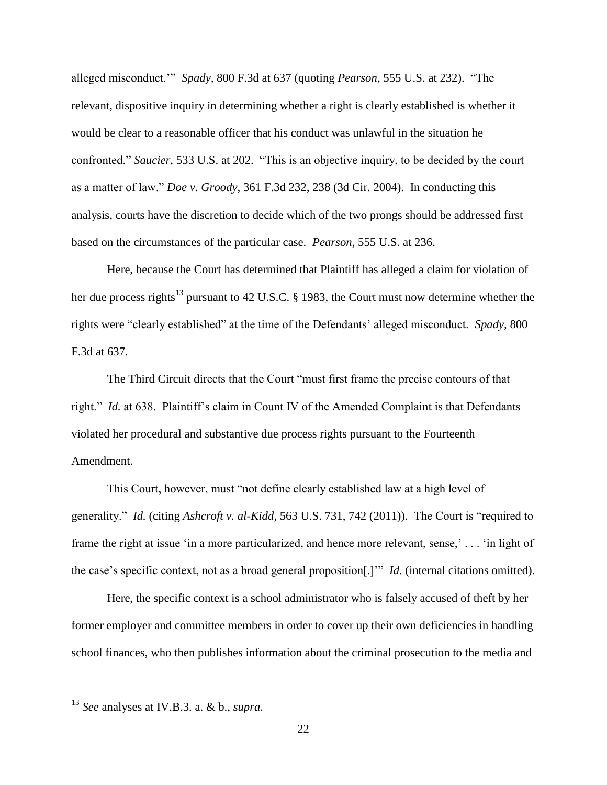alleged misconduct.'" *Spady,* 800 F.3d at 637 (quoting *Pearson*, 555 U.S. at 232). "The relevant, dispositive inquiry in determining whether a right is clearly established is whether it would be clear to a reasonable officer that his conduct was unlawful in the situation he confronted." *Saucier*, 533 U.S. at 202. "This is an objective inquiry, to be decided by the court as a matter of law." *Doe v. Groody*, 361 F.3d 232, 238 (3d Cir. 2004). In conducting this analysis, courts have the discretion to decide which of the two prongs should be addressed first based on the circumstances of the particular case. *Pearson*, 555 U.S. at 236.

Here, because the Court has determined that Plaintiff has alleged a claim for violation of her due process rights<sup>13</sup> pursuant to 42 U.S.C. § 1983, the Court must now determine whether the rights were "clearly established" at the time of the Defendants' alleged misconduct. *Spady,* 800 F.3d at 637.

The Third Circuit directs that the Court "must first frame the precise contours of that right." *Id.* at 638. Plaintiff's claim in Count IV of the Amended Complaint is that Defendants violated her procedural and substantive due process rights pursuant to the Fourteenth Amendment.

This Court, however, must "not define clearly established law at a high level of generality." *Id.* (citing *Ashcroft v. al-Kidd*, 563 U.S. 731, 742 (2011)). The Court is "required to frame the right at issue 'in a more particularized, and hence more relevant, sense,' . . . 'in light of the case's specific context, not as a broad general proposition[.]'" *Id.* (internal citations omitted).

Here, the specific context is a school administrator who is falsely accused of theft by her former employer and committee members in order to cover up their own deficiencies in handling school finances, who then publishes information about the criminal prosecution to the media and

<sup>13</sup> *See* analyses at IV.B.3. a. & b., *supra.*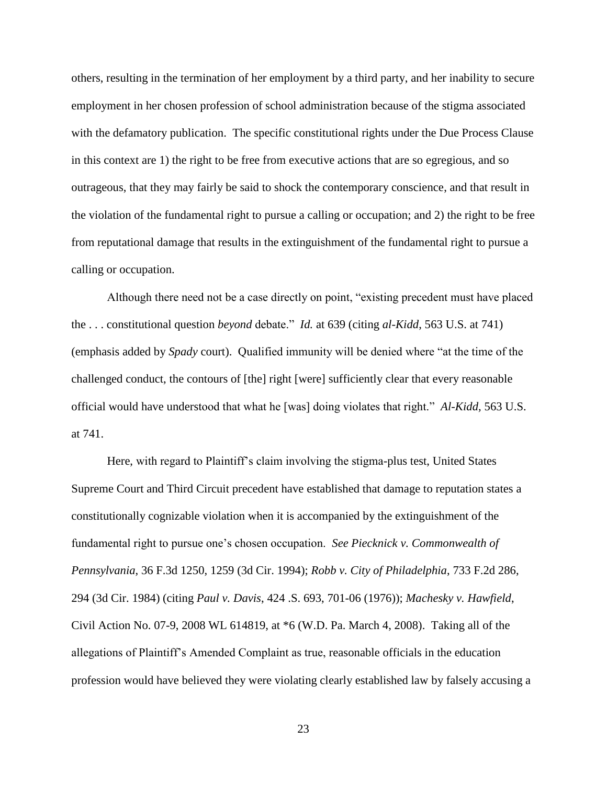others, resulting in the termination of her employment by a third party, and her inability to secure employment in her chosen profession of school administration because of the stigma associated with the defamatory publication. The specific constitutional rights under the Due Process Clause in this context are 1) the right to be free from executive actions that are so egregious, and so outrageous, that they may fairly be said to shock the contemporary conscience, and that result in the violation of the fundamental right to pursue a calling or occupation; and 2) the right to be free from reputational damage that results in the extinguishment of the fundamental right to pursue a calling or occupation.

Although there need not be a case directly on point, "existing precedent must have placed the . . . constitutional question *beyond* debate." *Id.* at 639 (citing *al-Kidd*, 563 U.S. at 741) (emphasis added by *Spady* court). Qualified immunity will be denied where "at the time of the challenged conduct, the contours of [the] right [were] sufficiently clear that every reasonable official would have understood that what he [was] doing violates that right." *Al-Kidd,* 563 U.S. at 741.

Here, with regard to Plaintiff's claim involving the stigma-plus test, United States Supreme Court and Third Circuit precedent have established that damage to reputation states a constitutionally cognizable violation when it is accompanied by the extinguishment of the fundamental right to pursue one's chosen occupation. *See Piecknick v. Commonwealth of Pennsylvania*, 36 F.3d 1250, 1259 (3d Cir. 1994); *Robb v. City of Philadelphia*, 733 F.2d 286, 294 (3d Cir. 1984) (citing *Paul v. Davis*, 424 .S. 693, 701-06 (1976)); *Machesky v. Hawfield*, Civil Action No. 07-9, 2008 WL 614819, at \*6 (W.D. Pa. March 4, 2008). Taking all of the allegations of Plaintiff's Amended Complaint as true, reasonable officials in the education profession would have believed they were violating clearly established law by falsely accusing a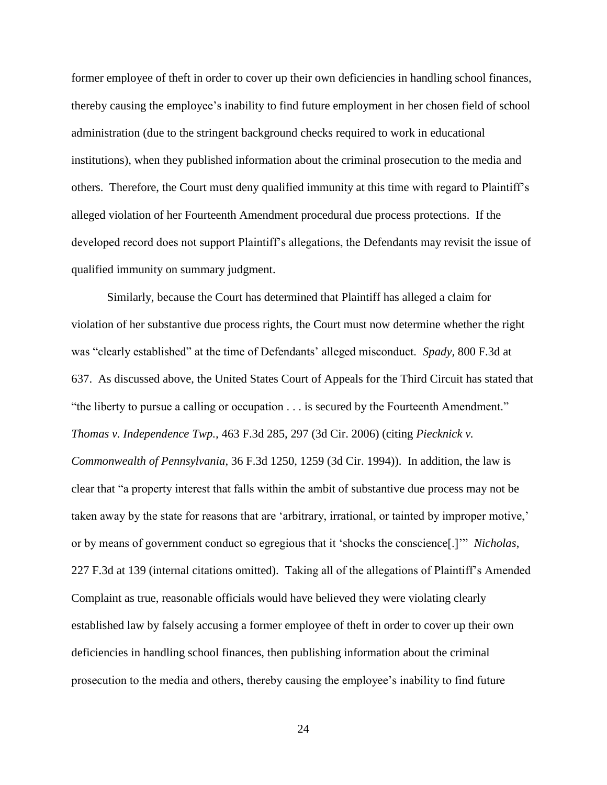former employee of theft in order to cover up their own deficiencies in handling school finances, thereby causing the employee's inability to find future employment in her chosen field of school administration (due to the stringent background checks required to work in educational institutions), when they published information about the criminal prosecution to the media and others. Therefore, the Court must deny qualified immunity at this time with regard to Plaintiff's alleged violation of her Fourteenth Amendment procedural due process protections. If the developed record does not support Plaintiff's allegations, the Defendants may revisit the issue of qualified immunity on summary judgment.

Similarly, because the Court has determined that Plaintiff has alleged a claim for violation of her substantive due process rights, the Court must now determine whether the right was "clearly established" at the time of Defendants' alleged misconduct. *Spady,* 800 F.3d at 637. As discussed above, the United States Court of Appeals for the Third Circuit has stated that "the liberty to pursue a calling or occupation . . . is secured by the Fourteenth Amendment." *Thomas v. Independence Twp.,* 463 F.3d 285, 297 (3d Cir. 2006) (citing *Piecknick v. Commonwealth of Pennsylvania*, 36 F.3d 1250, 1259 (3d Cir. 1994)). In addition, the law is clear that "a property interest that falls within the ambit of substantive due process may not be taken away by the state for reasons that are 'arbitrary, irrational, or tainted by improper motive,' or by means of government conduct so egregious that it 'shocks the conscience[.]'" *Nicholas*, 227 F.3d at 139 (internal citations omitted). Taking all of the allegations of Plaintiff's Amended Complaint as true, reasonable officials would have believed they were violating clearly established law by falsely accusing a former employee of theft in order to cover up their own deficiencies in handling school finances, then publishing information about the criminal prosecution to the media and others, thereby causing the employee's inability to find future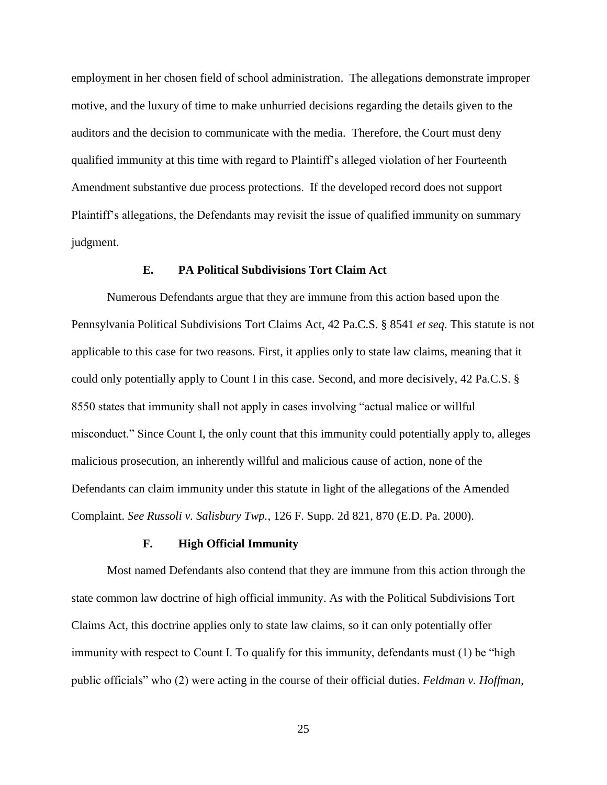employment in her chosen field of school administration. The allegations demonstrate improper motive, and the luxury of time to make unhurried decisions regarding the details given to the auditors and the decision to communicate with the media. Therefore, the Court must deny qualified immunity at this time with regard to Plaintiff's alleged violation of her Fourteenth Amendment substantive due process protections. If the developed record does not support Plaintiff's allegations, the Defendants may revisit the issue of qualified immunity on summary judgment.

## **E. PA Political Subdivisions Tort Claim Act**

Numerous Defendants argue that they are immune from this action based upon the Pennsylvania Political Subdivisions Tort Claims Act, 42 Pa.C.S. § 8541 *et seq*. This statute is not applicable to this case for two reasons. First, it applies only to state law claims, meaning that it could only potentially apply to Count I in this case. Second, and more decisively, 42 Pa.C.S. § 8550 states that immunity shall not apply in cases involving "actual malice or willful misconduct." Since Count I, the only count that this immunity could potentially apply to, alleges malicious prosecution, an inherently willful and malicious cause of action, none of the Defendants can claim immunity under this statute in light of the allegations of the Amended Complaint. *See Russoli v. Salisbury Twp.*, 126 F. Supp. 2d 821, 870 (E.D. Pa. 2000).

#### **F. High Official Immunity**

Most named Defendants also contend that they are immune from this action through the state common law doctrine of high official immunity. As with the Political Subdivisions Tort Claims Act, this doctrine applies only to state law claims, so it can only potentially offer immunity with respect to Count I. To qualify for this immunity, defendants must (1) be "high public officials" who (2) were acting in the course of their official duties. *Feldman v. Hoffman*,